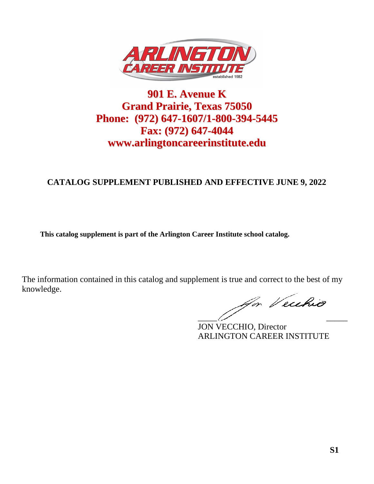

# **901 E. Avenue K Grand Prairie, Texas 75050 Phone: (972) 647-1607/1-800-394-5445 Fax: (972) 647-4044 www.arlingtoncareerinstitute.edu**

# **CATALOG SUPPLEMENT PUBLISHED AND EFFECTIVE JUNE 9, 2022**

**This catalog supplement is part of the Arlington Career Institute school catalog.**

for Vecehio \_\_\_\_\_\_\_\_\_\_\_\_\_\_\_\_\_\_\_\_\_\_\_\_\_\_\_\_\_\_\_\_\_\_\_

JON VECCHIO, Director ARLINGTON CAREER INSTITUTE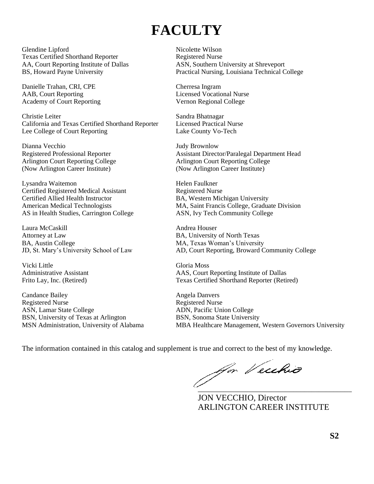# **FACULTY**

Glendine Lipford Nicolette Wilson Texas Certified Shorthand Reporter Registered Nurse

Danielle Trahan, CRI, CPE Cherresa Ingram AAB, Court Reporting Licensed Vocational Nurse Academy of Court Reporting The Court College Regional College

Christie Leiter Sandra Bhatnagar California and Texas Certified Shorthand Reporter Licensed Practical Nurse Lee College of Court Reporting Lake County Vo-Tech

Dianna Vecchio Judy Brownlow Arlington Court Reporting College<br>
(Now Arlington Court Reporting College<br>
(Now Arlington Career Institute) (Now Arlington Career Institute) (Now Arlington Career Institute)

Lysandra Waitemon Helen Faulkner Certified Registered Medical Assistant Registered Nurse<br>
Certified Allied Health Instructor BA, Western Mic AS in Health Studies, Carrington College ASN, Ivy Tech Community College

Laura McCaskill **Andrea Houser** Attorney at Law BA, University of North Texas BA, Austin College MA, Texas Woman's University

Vicki Little Gloria Moss

Candance Bailey **Angela Danvers** Angela Danvers Registered Nurse Registered Nurse ASN, Lamar State College ADN, Pacific Union College BSN, University of Texas at Arlington BSN, Sonoma State University

AA, Court Reporting Institute of Dallas ASN, Southern University at Shreveport BS, Howard Payne University Practical Nursing, Louisiana Technical College

Registered Professional Reporter Assistant Director/Paralegal Department Head

BA, Western Michigan University American Medical Technologists MA, Saint Francis College, Graduate Division

JD, St. Mary's University School of Law AD, Court Reporting, Broward Community College

Administrative Assistant AAS, Court Reporting Institute of Dallas Frito Lay, Inc. (Retired) Texas Certified Shorthand Reporter (Retired)

MSN Administration, University of Alabama MBA Healthcare Management, Western Governors University

The information contained in this catalog and supplement is true and correct to the best of my knowledge. \_\_\_\_\_\_\_\_\_\_\_\_\_\_\_\_\_\_\_\_\_\_\_\_\_\_\_\_\_\_\_\_\_\_\_\_\_\_\_\_\_\_

JON VECCHIO, Director ARLINGTON CAREER INSTITUTE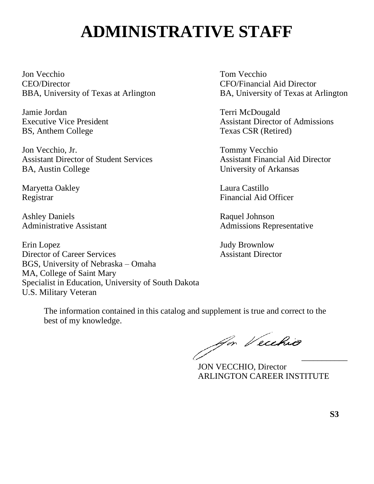# **ADMINISTRATIVE STAFF**

Jon Vecchio Tom Vecchio CEO/Director CFO/Financial Aid Director BBA, University of Texas at Arlington BA, University of Texas at Arlington

Jamie Jordan Terri McDougald BS, Anthem College Texas CSR (Retired)

Jon Vecchio, Jr. Tommy Vecchio Assistant Director of Student Services Assistant Financial Aid Director BA, Austin College University of Arkansas

Maryetta Oakley Laura Castillo

Ashley Daniels Raquel Johnson

Erin Lopez Judy Brownlow Director of Career Services Assistant Director BGS, University of Nebraska – Omaha MA, College of Saint Mary Specialist in Education, University of South Dakota U.S. Military Veteran

Executive Vice President **Assistant Director of Admissions** 

Registrar Financial Aid Officer

Administrative Assistant Admissions Representative

Ja Veuhio

JON VECCHIO, Director ARLINGTON CAREER INSTITUTE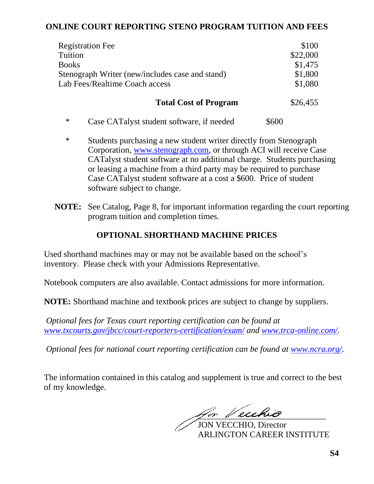# **ONLINE COURT REPORTING STENO PROGRAM TUITION AND FEES**

| \$100    |
|----------|
| \$22,000 |
| \$1,475  |
| \$1,800  |
| \$1,080  |
| \$26,455 |
|          |

- \* Case CATalyst student software, if needed \$600
- \* Students purchasing a new student writer directly from Stenograph Corporation, [www.stenograph.com,](http://www.stenograph.com/) or through ACI will receive Case CATalyst student software at no additional charge. Students purchasing or leasing a machine from a third party may be required to purchase Case CATalyst student software at a cost a \$600. Price of student software subject to change.
- **NOTE:** See Catalog, Page 8, for important information regarding the court reporting program tuition and completion times.

# **OPTIONAL SHORTHAND MACHINE PRICES**

Used shorthand machines may or may not be available based on the school's inventory. Please check with your Admissions Representative.

Notebook computers are also available. Contact admissions for more information.

**NOTE:** Shorthand machine and textbook prices are subject to change by suppliers.

*Optional fees for Texas court reporting certification can be found at [www.txcourts.gov/jbcc/court-reporters-certification/exam/](http://www.txcourts.gov/jbcc/court-reporters-certification/exam/) and [www.trca-online.com/.](http://www.trca-online.com/)*

*Optional fees for national court reporting certification can be found at [www.ncra.org/.](http://www.ncra.org/)*

\_\_\_\_\_\_\_\_\_\_\_\_\_\_\_\_\_\_\_\_\_\_\_\_\_\_\_\_\_\_

JON VECCHIO, Director ARLINGTON CAREER INSTITUTE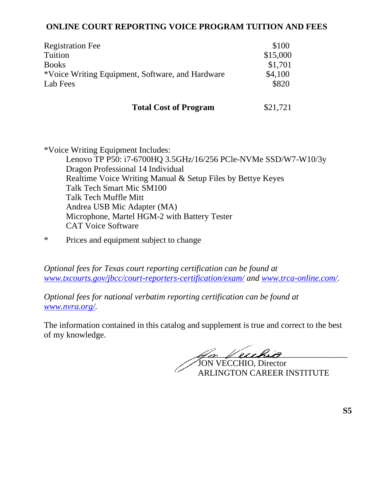# **ONLINE COURT REPORTING VOICE PROGRAM TUITION AND FEES**

| <b>Registration Fee</b>                          | \$100    |
|--------------------------------------------------|----------|
| Tuition                                          | \$15,000 |
| <b>Books</b>                                     | \$1,701  |
| *Voice Writing Equipment, Software, and Hardware | \$4,100  |
| Lab Fees                                         | \$820    |
|                                                  |          |
| <b>Total Cost of Program</b>                     | \$21,721 |

\*Voice Writing Equipment Includes: Lenovo TP P50: i7-6700HQ 3.5GHz/16/256 PCle-NVMe SSD/W7-W10/3y Dragon Professional 14 Individual Realtime Voice Writing Manual & Setup Files by Bettye Keyes Talk Tech Smart Mic SM100 Talk Tech Muffle Mitt Andrea USB Mic Adapter (MA) Microphone, Martel HGM-2 with Battery Tester CAT Voice Software

\* Prices and equipment subject to change

*Optional fees for Texas court reporting certification can be found at [www.txcourts.gov/jbcc/court-reporters-certification/exam/](http://www.txcourts.gov/jbcc/court-reporters-certification/exam/) and [www.trca-online.com/.](http://www.trca-online.com/)*

*Optional fees for national verbatim reporting certification can be found at [www.nvra.org/.](http://www.nvra.org/)*

for Vecchia JON VECCHIO, Director

ARLINGTON CAREER INSTITUTE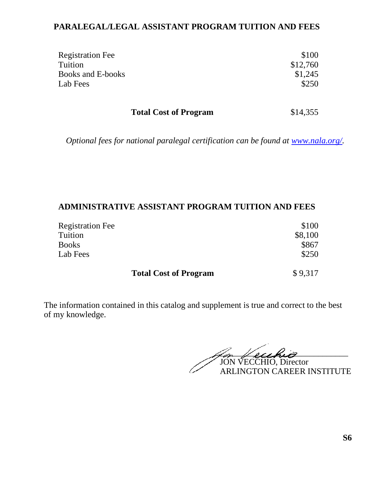# **PARALEGAL/LEGAL ASSISTANT PROGRAM TUITION AND FEES**

| <b>Registration Fee</b>  | \$100    |
|--------------------------|----------|
| Tuition                  | \$12,760 |
| <b>Books and E-books</b> | \$1,245  |
| Lab Fees                 | \$250    |
|                          |          |

Total Cost of Program \$14,355

*Optional fees for national paralegal certification can be found at [www.nala.org/.](http://www.nala.org/)*

# **ADMINISTRATIVE ASSISTANT PROGRAM TUITION AND FEES**

| <b>Registration Fee</b> | \$100   |
|-------------------------|---------|
| Tuition                 | \$8,100 |
| <b>Books</b>            | \$867   |
| Lab Fees                | \$250   |
|                         |         |

**Total Cost of Program** \$ 9,317

 $\mathbb{Z}_p$  *Hershin* JON VECCHIO, Director ARLINGTON CAREER INSTITUTE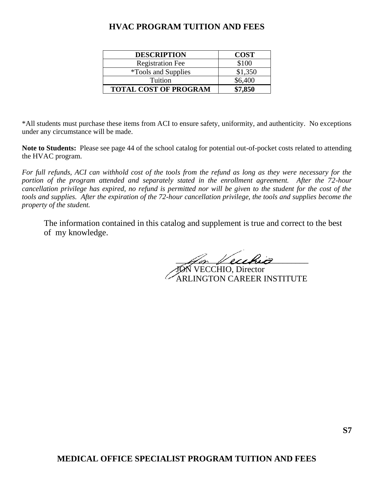# **HVAC PROGRAM TUITION AND FEES**

| <b>DESCRIPTION</b>           | <b>COST</b> |
|------------------------------|-------------|
| <b>Registration Fee</b>      | \$100       |
| <i>*Tools and Supplies</i>   | \$1,350     |
| Tuition                      | \$6,400     |
| <b>TOTAL COST OF PROGRAM</b> | \$7,850     |

\*All students must purchase these items from ACI to ensure safety, uniformity, and authenticity. No exceptions under any circumstance will be made.

**Note to Students:** Please see page 44 of the school catalog for potential out-of-pocket costs related to attending the HVAC program.

*For full refunds, ACI can withhold cost of the tools from the refund as long as they were necessary for the portion of the program attended and separately stated in the enrollment agreement. After the 72-hour cancellation privilege has expired, no refund is permitted nor will be given to the student for the cost of the tools and supplies. After the expiration of the 72-hour cancellation privilege, the tools and supplies become the property of the student.*

 $\mathscr{L}$ or Vecchia JON VECCHIO, Director RLINGTON CAREER INSTITUTE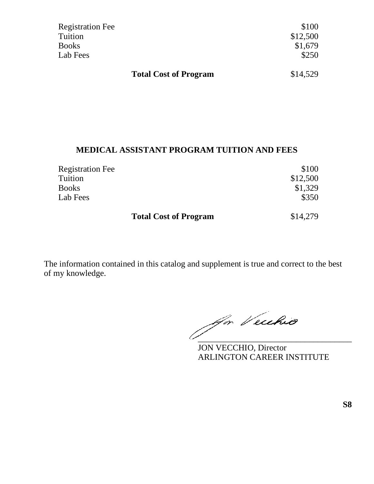| <b>Registration Fee</b>      | \$100    |
|------------------------------|----------|
| Tuition                      | \$12,500 |
| <b>Books</b>                 | \$1,679  |
| Lab Fees                     | \$250    |
|                              |          |
| <b>Total Cost of Program</b> | \$14,529 |

# **MEDICAL ASSISTANT PROGRAM TUITION AND FEES**

| <b>Registration Fee</b>      | \$100    |
|------------------------------|----------|
| Tuition                      | \$12,500 |
| <b>Books</b>                 | \$1,329  |
| Lab Fees                     | \$350    |
| <b>Total Cost of Program</b> | \$14,279 |

Ja Vecchio

JON VECCHIO, Director ARLINGTON CAREER INSTITUTE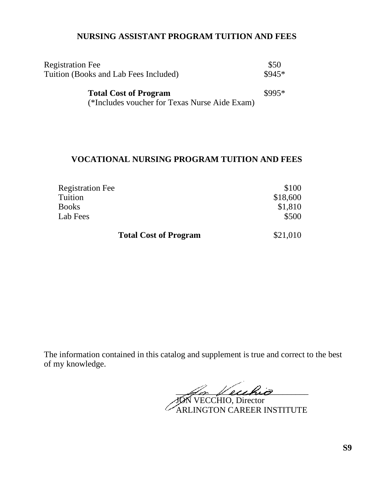# **NURSING ASSISTANT PROGRAM TUITION AND FEES**

| <b>Registration Fee</b><br>Tuition (Books and Lab Fees Included)              |         |
|-------------------------------------------------------------------------------|---------|
| <b>Total Cost of Program</b><br>(*Includes voucher for Texas Nurse Aide Exam) | $$995*$ |

# **VOCATIONAL NURSING PROGRAM TUITION AND FEES**

| <b>Registration Fee</b>      | \$100    |
|------------------------------|----------|
| Tuition                      | \$18,600 |
| <b>Books</b>                 | \$1,810  |
| Lab Fees                     | \$500    |
| <b>Total Cost of Program</b> | \$21,010 |

 $\mathscr{A}$ or Vecchio

JON VECCHIO, Director ARLINGTON CAREER INSTITUTE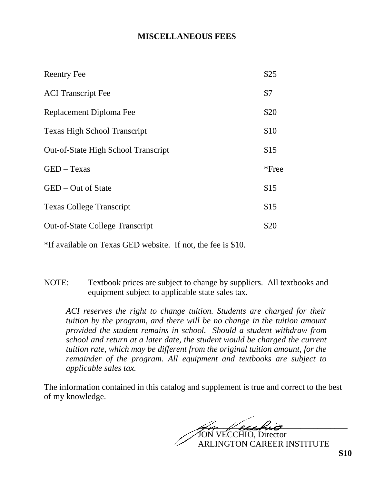# **MISCELLANEOUS FEES**

| <b>Reentry Fee</b>                         | \$25     |
|--------------------------------------------|----------|
| <b>ACI</b> Transcript Fee                  | \$7      |
| Replacement Diploma Fee                    | \$20     |
| <b>Texas High School Transcript</b>        | \$10     |
| <b>Out-of-State High School Transcript</b> | \$15     |
| $GED - Texas$                              | $*$ Free |
| GED – Out of State                         | \$15     |
| <b>Texas College Transcript</b>            | \$15     |
| <b>Out-of-State College Transcript</b>     | \$20     |
|                                            |          |

\*If available on Texas GED website. If not, the fee is \$10.

NOTE: Textbook prices are subject to change by suppliers. All textbooks and equipment subject to applicable state sales tax.

*ACI reserves the right to change tuition. Students are charged for their tuition by the program, and there will be no change in the tuition amount provided the student remains in school. Should a student withdraw from school and return at a later date, the student would be charged the current tuition rate, which may be different from the original tuition amount, for the remainder of the program. All equipment and textbooks are subject to applicable sales tax.*

 $\mathscr{A}_{\mathscr{D}}$  leukiz VECCHIO, Director ARLINGTON CAREER INSTITUTE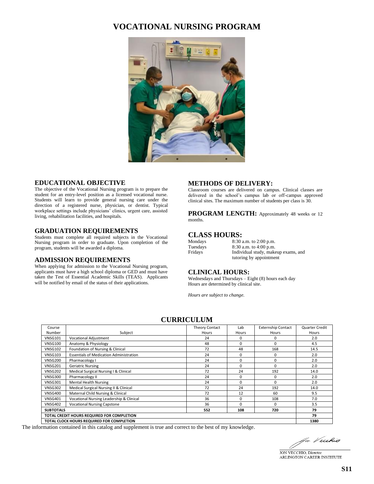# **VOCATIONAL NURSING PROGRAM**



#### **EDUCATIONAL OBJECTIVE**

The objective of the Vocational Nursing program is to prepare the student for an entry-level position as a licensed vocational nurse. Students will learn to provide general nursing care under the direction of a registered nurse, physician, or dentist. Typical workplace settings include physicians' clinics, urgent care, assisted living, rehabilitation facilities, and hospitals.

#### **GRADUATION REQUIREMENTS**

Students must complete all required subjects in the Vocational Nursing program in order to graduate. Upon completion of the program, students will be awarded a diploma.

#### **ADMISSION REQUIREMENTS**

When applying for admission to the Vocational Nursing program, applicants must have a high school diploma or GED and must have taken the Test of Essential Academic Skills (TEAS). Applicants will be notified by email of the status of their applications.

#### **METHODS OF DELIVERY:**

Classroom courses are delivered on campus. Clinical classes are delivered in the school's campus lab or off-campus approved clinical sites. The maximum number of students per class is 30.

**PROGRAM LENGTH:** Approximately 48 weeks or 12 months.

#### **CLASS HOURS:**

| Mondays  |  |
|----------|--|
| Tuesdays |  |
| Fridays  |  |

8:30 a.m. to 2:00 p.m. 8:30 a.m. to 4:00 p.m. Individual study, makeup exams, and tutoring by appointment

#### **CLINICAL HOURS:**

Wednesdays and Thursdays – Eight (8) hours each day Hours are determined by clinical site.

*Hours are subject to change.*

#### **CURRICULUM**

| Course                                     |                                                | <b>Theory Contact</b> | Lab      | <b>Externship Contact</b> | Quarter Credit |
|--------------------------------------------|------------------------------------------------|-----------------------|----------|---------------------------|----------------|
| Number                                     | Subject                                        | Hours                 | Hours    | Hours                     | Hours          |
| <b>VNSG101</b>                             | <b>Vocational Adjustment</b>                   | 24                    | $\Omega$ | 0                         | 2.0            |
| <b>VNSG100</b>                             | Anatomy & Physiology                           | 48                    | $\Omega$ | 0                         | 4.5            |
| <b>VNSG102</b>                             | Foundation of Nursing & Clinical               | 72                    | 48       | 168                       | 14.5           |
| <b>VNSG103</b>                             | <b>Essentials of Medication Administration</b> | 24                    | 0        | 0                         | 2.0            |
| VNSG200                                    | Pharmacology I                                 | 24                    | 0        | 0                         | 2.0            |
| <b>VNSG201</b>                             | <b>Geriatric Nursing</b>                       | 24                    | $\Omega$ | $\Omega$                  | 2.0            |
| <b>VNSG202</b>                             | Medical Surgical Nursing I & Clinical          | 72                    | 24       | 192                       | 14.0           |
| VNSG300                                    | Pharmacology II                                | 24                    | $\Omega$ | 0                         | 2.0            |
| <b>VNSG301</b>                             | <b>Mental Health Nursing</b>                   | 24                    | $\Omega$ | 0                         | 2.0            |
| <b>VNSG302</b>                             | Medical Surgical Nursing II & Clinical         | 72                    | 24       | 192                       | 14.0           |
| <b>VNSG400</b>                             | Maternal Child Nursing & Clinical              | 72                    | 12       | 60                        | 9.5            |
| <b>VNSG401</b>                             | Vocational Nursing Leadership & Clinical       | 36                    | $\Omega$ | 108                       | 7.0            |
| <b>VNSG402</b>                             | <b>Vocational Nursing Capstone</b>             | 36                    | $\Omega$ | 0                         | 3.5            |
| <b>SUBTOTALS</b>                           |                                                | 552                   | 108      | 720                       | 79             |
| TOTAL CREDIT HOURS REQUIRED FOR COMPLETION |                                                |                       | 79       |                           |                |
| TOTAL CLOCK HOURS REQUIRED FOR COMPLETION  |                                                |                       | 1380     |                           |                |

The information contained in this catalog and supplement is true and correct to the best of my knowledge.

An Vecchio

JON VECCHIO, Director ARLINGTON CAREER INSTITUTE

#### **S11**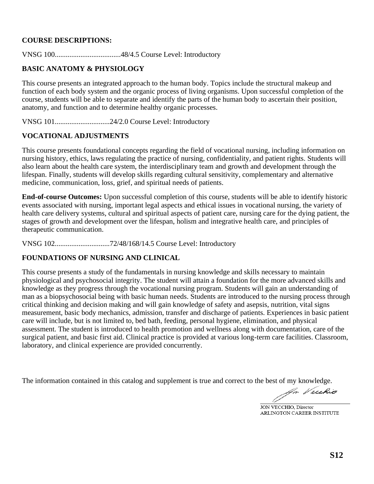### **COURSE DESCRIPTIONS:**

VNSG 100....................................48/4.5 Course Level: Introductory

# **BASIC ANATOMY & PHYSIOLOGY**

This course presents an integrated approach to the human body. Topics include the structural makeup and function of each body system and the organic process of living organisms. Upon successful completion of the course, students will be able to separate and identify the parts of the human body to ascertain their position, anatomy, and function and to determine healthy organic processes.

VNSG 101..............................24/2.0 Course Level: Introductory

### **VOCATIONAL ADJUSTMENTS**

This course presents foundational concepts regarding the field of vocational nursing, including information on nursing history, ethics, laws regulating the practice of nursing, confidentiality, and patient rights. Students will also learn about the health care system, the interdisciplinary team and growth and development through the lifespan. Finally, students will develop skills regarding cultural sensitivity, complementary and alternative medicine, communication, loss, grief, and spiritual needs of patients.

**End-of-course Outcomes:** Upon successful completion of this course, students will be able to identify historic events associated with nursing, important legal aspects and ethical issues in vocational nursing, the variety of health care delivery systems, cultural and spiritual aspects of patient care, nursing care for the dying patient, the stages of growth and development over the lifespan, holism and integrative health care, and principles of therapeutic communication.

VNSG 102..............................72/48/168/14.5 Course Level: Introductory

# **FOUNDATIONS OF NURSING AND CLINICAL**

This course presents a study of the fundamentals in nursing knowledge and skills necessary to maintain physiological and psychosocial integrity. The student will attain a foundation for the more advanced skills and knowledge as they progress through the vocational nursing program. Students will gain an understanding of man as a biopsychosocial being with basic human needs. Students are introduced to the nursing process through critical thinking and decision making and will gain knowledge of safety and asepsis, nutrition, vital signs measurement, basic body mechanics, admission, transfer and discharge of patients. Experiences in basic patient care will include, but is not limited to, bed bath, feeding, personal hygiene, elimination, and physical assessment. The student is introduced to health promotion and wellness along with documentation, care of the surgical patient, and basic first aid. Clinical practice is provided at various long-term care facilities. Classroom, laboratory, and clinical experience are provided concurrently.

An Vecchio

JON VECCHIO, Director ARLINGTON CAREER INSTITUTE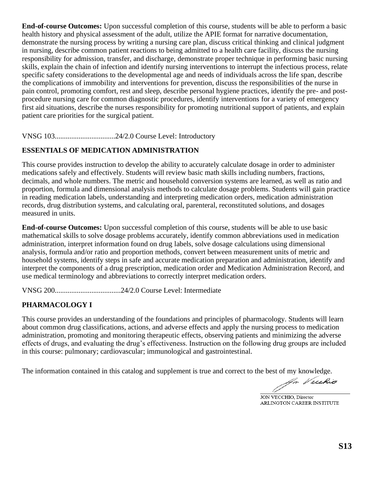**End-of-course Outcomes:** Upon successful completion of this course, students will be able to perform a basic health history and physical assessment of the adult, utilize the APIE format for narrative documentation, demonstrate the nursing process by writing a nursing care plan, discuss critical thinking and clinical judgment in nursing, describe common patient reactions to being admitted to a health care facility, discuss the nursing responsibility for admission, transfer, and discharge, demonstrate proper technique in performing basic nursing skills, explain the chain of infection and identify nursing interventions to interrupt the infectious process, relate specific safety considerations to the developmental age and needs of individuals across the life span, describe the complications of immobility and interventions for prevention, discuss the responsibilities of the nurse in pain control, promoting comfort, rest and sleep, describe personal hygiene practices, identify the pre- and postprocedure nursing care for common diagnostic procedures, identify interventions for a variety of emergency first aid situations, describe the nurses responsibility for promoting nutritional support of patients, and explain patient care priorities for the surgical patient.

VNSG 103.................................24/2.0 Course Level: Introductory

### **ESSENTIALS OF MEDICATION ADMINISTRATION**

This course provides instruction to develop the ability to accurately calculate dosage in order to administer medications safely and effectively. Students will review basic math skills including numbers, fractions, decimals, and whole numbers. The metric and household conversion systems are learned, as well as ratio and proportion, formula and dimensional analysis methods to calculate dosage problems. Students will gain practice in reading medication labels, understanding and interpreting medication orders, medication administration records, drug distribution systems, and calculating oral, parenteral, reconstituted solutions, and dosages measured in units.

**End-of-course Outcomes:** Upon successful completion of this course, students will be able to use basic mathematical skills to solve dosage problems accurately, identify common abbreviations used in medication administration, interpret information found on drug labels, solve dosage calculations using dimensional analysis, formula and/or ratio and proportion methods, convert between measurement units of metric and household systems, identify steps in safe and accurate medication preparation and administration, identify and interpret the components of a drug prescription, medication order and Medication Administration Record, and use medical terminology and abbreviations to correctly interpret medication orders.

VNSG 200....................................24/2.0 Course Level: Intermediate

# **PHARMACOLOGY I**

This course provides an understanding of the foundations and principles of pharmacology. Students will learn about common drug classifications, actions, and adverse effects and apply the nursing process to medication administration, promoting and monitoring therapeutic effects, observing patients and minimizing the adverse effects of drugs, and evaluating the drug's effectiveness. Instruction on the following drug groups are included in this course: pulmonary; cardiovascular; immunological and gastrointestinal.

JON VECCHIO, Director ARLINGTON CAREER INSTITUTE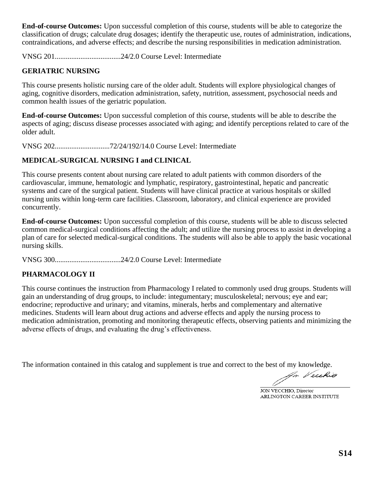**End-of-course Outcomes:** Upon successful completion of this course, students will be able to categorize the classification of drugs; calculate drug dosages; identify the therapeutic use, routes of administration, indications, contraindications, and adverse effects; and describe the nursing responsibilities in medication administration.

VNSG 201....................................24/2.0 Course Level: Intermediate

# **GERIATRIC NURSING**

This course presents holistic nursing care of the older adult. Students will explore physiological changes of aging, cognitive disorders, medication administration, safety, nutrition, assessment, psychosocial needs and common health issues of the geriatric population.

**End-of-course Outcomes:** Upon successful completion of this course, students will be able to describe the aspects of aging; discuss disease processes associated with aging; and identify perceptions related to care of the older adult.

VNSG 202..............................72/24/192/14.0 Course Level: Intermediate

# **MEDICAL-SURGICAL NURSING I and CLINICAL**

This course presents content about nursing care related to adult patients with common disorders of the cardiovascular, immune, hematologic and lymphatic, respiratory, gastrointestinal, hepatic and pancreatic systems and care of the surgical patient. Students will have clinical practice at various hospitals or skilled nursing units within long-term care facilities. Classroom, laboratory, and clinical experience are provided concurrently.

**End-of-course Outcomes:** Upon successful completion of this course, students will be able to discuss selected common medical-surgical conditions affecting the adult; and utilize the nursing process to assist in developing a plan of care for selected medical-surgical conditions. The students will also be able to apply the basic vocational nursing skills.

VNSG 300....................................24/2.0 Course Level: Intermediate

# **PHARMACOLOGY II**

This course continues the instruction from Pharmacology I related to commonly used drug groups. Students will gain an understanding of drug groups, to include: integumentary; musculoskeletal; nervous; eye and ear; endocrine; reproductive and urinary; and vitamins, minerals, herbs and complementary and alternative medicines. Students will learn about drug actions and adverse effects and apply the nursing process to medication administration, promoting and monitoring therapeutic effects, observing patients and minimizing the adverse effects of drugs, and evaluating the drug's effectiveness.

An Veuhio

JON VECCHIO, Director ARLINGTON CAREER INSTITUTE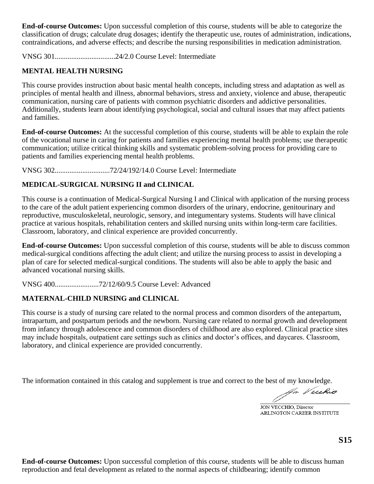**End-of-course Outcomes:** Upon successful completion of this course, students will be able to categorize the classification of drugs; calculate drug dosages; identify the therapeutic use, routes of administration, indications, contraindications, and adverse effects; and describe the nursing responsibilities in medication administration.

VNSG 301.................................24/2.0 Course Level: Intermediate

# **MENTAL HEALTH NURSING**

This course provides instruction about basic mental health concepts, including stress and adaptation as well as principles of mental health and illness, abnormal behaviors, stress and anxiety, violence and abuse, therapeutic communication, nursing care of patients with common psychiatric disorders and addictive personalities. Additionally, students learn about identifying psychological, social and cultural issues that may affect patients and families.

**End-of-course Outcomes:** At the successful completion of this course, students will be able to explain the role of the vocational nurse in caring for patients and families experiencing mental health problems; use therapeutic communication; utilize critical thinking skills and systematic problem-solving process for providing care to patients and families experiencing mental health problems.

VNSG 302..............................72/24/192/14.0 Course Level: Intermediate

# **MEDICAL-SURGICAL NURSING II and CLINICAL**

This course is a continuation of Medical-Surgical Nursing I and Clinical with application of the nursing process to the care of the adult patient experiencing common disorders of the urinary, endocrine, genitourinary and reproductive, musculoskeletal, neurologic, sensory, and integumentary systems. Students will have clinical practice at various hospitals, rehabilitation centers and skilled nursing units within long-term care facilities. Classroom, laboratory, and clinical experience are provided concurrently.

**End-of-course Outcomes:** Upon successful completion of this course, students will be able to discuss common medical-surgical conditions affecting the adult client; and utilize the nursing process to assist in developing a plan of care for selected medical-surgical conditions. The students will also be able to apply the basic and advanced vocational nursing skills.

VNSG 400........................72/12/60/9.5 Course Level: Advanced

# **MATERNAL-CHILD NURSING and CLINICAL**

This course is a study of nursing care related to the normal process and common disorders of the antepartum, intrapartum, and postpartum periods and the newborn. Nursing care related to normal growth and development from infancy through adolescence and common disorders of childhood are also explored. Clinical practice sites may include hospitals, outpatient care settings such as clinics and doctor's offices, and daycares. Classroom, laboratory, and clinical experience are provided concurrently.

The information contained in this catalog and supplement is true and correct to the best of my knowledge.

An Vecchio

JON VECCHIO, Director ARLINGTON CAREER INSTITUTE

**End-of-course Outcomes:** Upon successful completion of this course, students will be able to discuss human reproduction and fetal development as related to the normal aspects of childbearing; identify common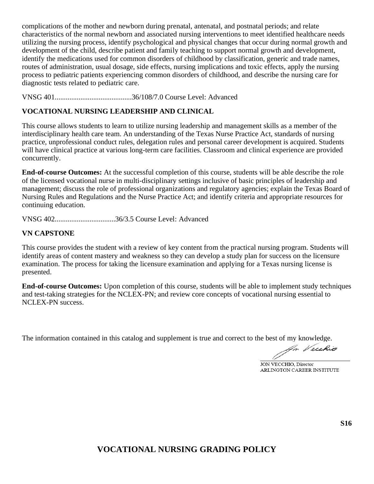complications of the mother and newborn during prenatal, antenatal, and postnatal periods; and relate characteristics of the normal newborn and associated nursing interventions to meet identified healthcare needs utilizing the nursing process, identify psychological and physical changes that occur during normal growth and development of the child, describe patient and family teaching to support normal growth and development, identify the medications used for common disorders of childhood by classification, generic and trade names, routes of administration, usual dosage, side effects, nursing implications and toxic effects, apply the nursing process to pediatric patients experiencing common disorders of childhood, and describe the nursing care for diagnostic tests related to pediatric care.

VNSG 401..........................................36/108/7.0 Course Level: Advanced

# **VOCATIONAL NURSING LEADERSHIP AND CLINICAL**

This course allows students to learn to utilize nursing leadership and management skills as a member of the interdisciplinary health care team. An understanding of the Texas Nurse Practice Act, standards of nursing practice, unprofessional conduct rules, delegation rules and personal career development is acquired. Students will have clinical practice at various long-term care facilities. Classroom and clinical experience are provided concurrently.

**End-of-course Outcomes:** At the successful completion of this course, students will be able describe the role of the licensed vocational nurse in multi-disciplinary settings inclusive of basic principles of leadership and management; discuss the role of professional organizations and regulatory agencies; explain the Texas Board of Nursing Rules and Regulations and the Nurse Practice Act; and identify criteria and appropriate resources for continuing education.

VNSG 402.................................36/3.5 Course Level: Advanced

# **VN CAPSTONE**

This course provides the student with a review of key content from the practical nursing program. Students will identify areas of content mastery and weakness so they can develop a study plan for success on the licensure examination. The process for taking the licensure examination and applying for a Texas nursing license is presented.

**End-of-course Outcomes:** Upon completion of this course, students will be able to implement study techniques and test-taking strategies for the NCLEX-PN; and review core concepts of vocational nursing essential to NCLEX-PN success.

An Vecchio

JON VECCHIO, Director ARLINGTON CAREER INSTITUTE